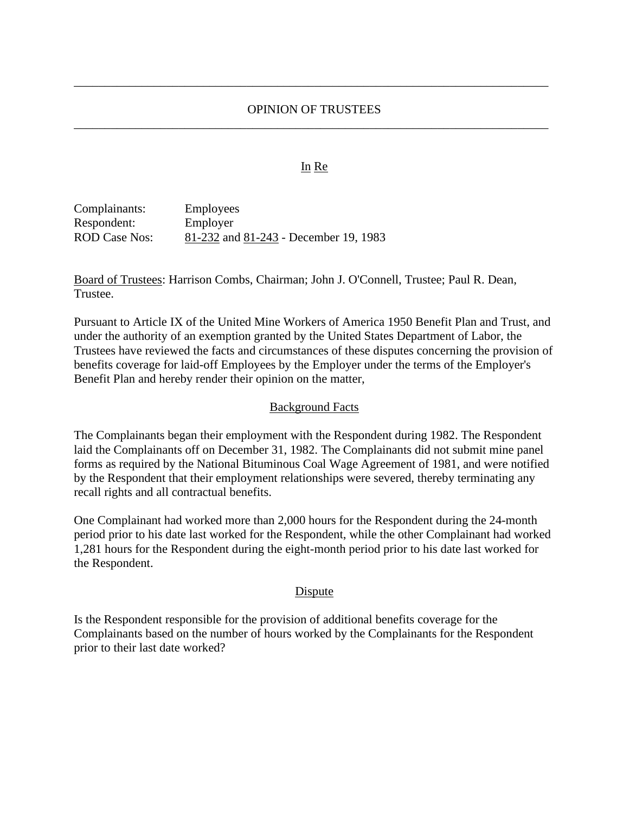## OPINION OF TRUSTEES \_\_\_\_\_\_\_\_\_\_\_\_\_\_\_\_\_\_\_\_\_\_\_\_\_\_\_\_\_\_\_\_\_\_\_\_\_\_\_\_\_\_\_\_\_\_\_\_\_\_\_\_\_\_\_\_\_\_\_\_\_\_\_\_\_\_\_\_\_\_\_\_\_\_\_\_\_

\_\_\_\_\_\_\_\_\_\_\_\_\_\_\_\_\_\_\_\_\_\_\_\_\_\_\_\_\_\_\_\_\_\_\_\_\_\_\_\_\_\_\_\_\_\_\_\_\_\_\_\_\_\_\_\_\_\_\_\_\_\_\_\_\_\_\_\_\_\_\_\_\_\_\_\_\_

#### In Re

| Complainants: | <b>Employees</b>                      |
|---------------|---------------------------------------|
| Respondent:   | Employer                              |
| ROD Case Nos: | 81-232 and 81-243 - December 19, 1983 |

Board of Trustees: Harrison Combs, Chairman; John J. O'Connell, Trustee; Paul R. Dean, Trustee.

Pursuant to Article IX of the United Mine Workers of America 1950 Benefit Plan and Trust, and under the authority of an exemption granted by the United States Department of Labor, the Trustees have reviewed the facts and circumstances of these disputes concerning the provision of benefits coverage for laid-off Employees by the Employer under the terms of the Employer's Benefit Plan and hereby render their opinion on the matter,

#### Background Facts

The Complainants began their employment with the Respondent during 1982. The Respondent laid the Complainants off on December 31, 1982. The Complainants did not submit mine panel forms as required by the National Bituminous Coal Wage Agreement of 1981, and were notified by the Respondent that their employment relationships were severed, thereby terminating any recall rights and all contractual benefits.

One Complainant had worked more than 2,000 hours for the Respondent during the 24-month period prior to his date last worked for the Respondent, while the other Complainant had worked 1,281 hours for the Respondent during the eight-month period prior to his date last worked for the Respondent.

#### Dispute

Is the Respondent responsible for the provision of additional benefits coverage for the Complainants based on the number of hours worked by the Complainants for the Respondent prior to their last date worked?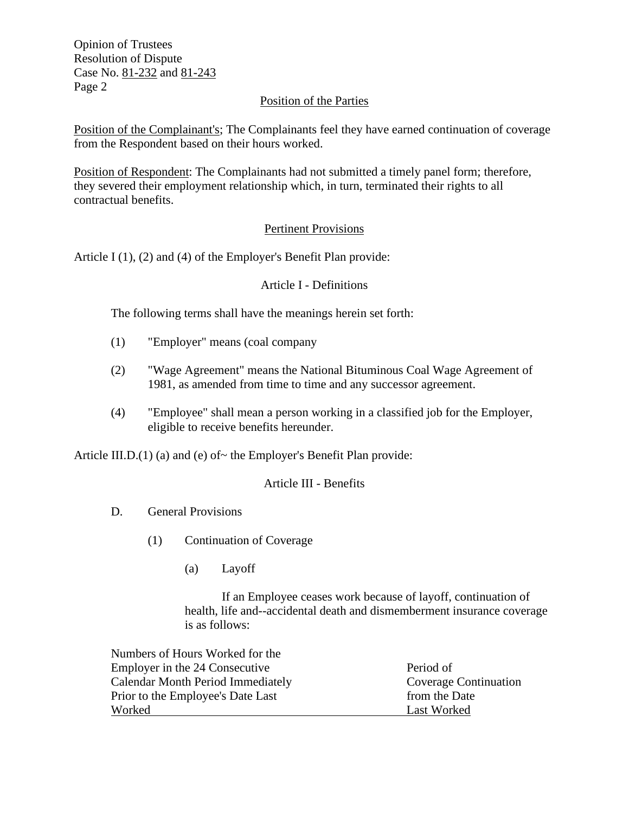Opinion of Trustees Resolution of Dispute Case No. 81-232 and 81-243 Page 2

# Position of the Parties

Position of the Complainant's; The Complainants feel they have earned continuation of coverage from the Respondent based on their hours worked.

Position of Respondent: The Complainants had not submitted a timely panel form; therefore, they severed their employment relationship which, in turn, terminated their rights to all contractual benefits.

# Pertinent Provisions

Article I (1), (2) and (4) of the Employer's Benefit Plan provide:

## Article I - Definitions

The following terms shall have the meanings herein set forth:

- (1) "Employer" means (coal company
- (2) "Wage Agreement" means the National Bituminous Coal Wage Agreement of 1981, as amended from time to time and any successor agreement.
- (4) "Employee" shall mean a person working in a classified job for the Employer, eligible to receive benefits hereunder.

Article III.D. $(1)$  (a) and (e) of~ the Employer's Benefit Plan provide:

## Article III - Benefits

- D. General Provisions
	- (1) Continuation of Coverage
		- (a) Layoff

If an Employee ceases work because of layoff, continuation of health, life and--accidental death and dismemberment insurance coverage is as follows:

| Period of             |
|-----------------------|
| Coverage Continuation |
| from the Date         |
| Last Worked           |
|                       |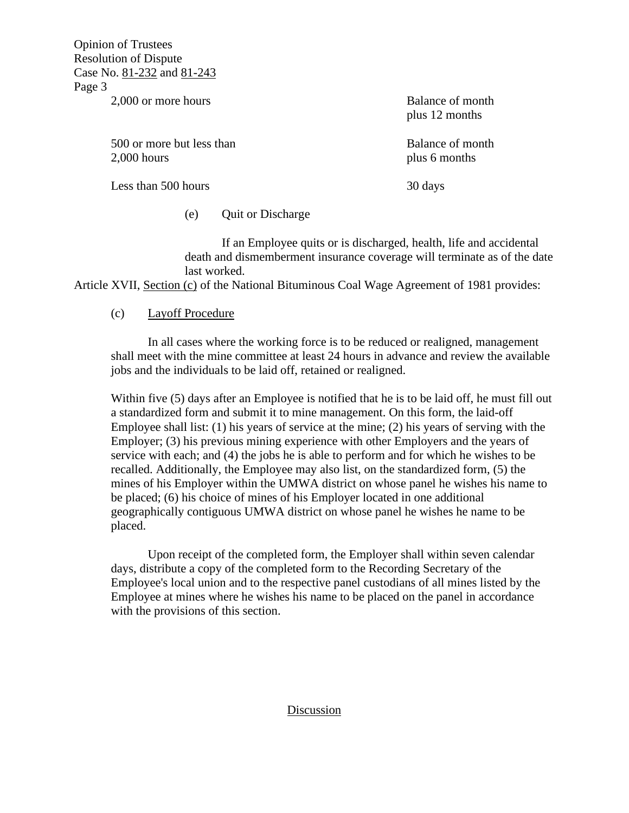Opinion of Trustees Resolution of Dispute Case No. 81-232 and 81-243 Page 3

2,000 or more hours Balance of month

500 or more but less than Balance of month 2,000 hours plus 6 months

plus 12 months

Less than 500 hours 30 days

(e) Quit or Discharge

If an Employee quits or is discharged, health, life and accidental death and dismemberment insurance coverage will terminate as of the date last worked.

Article XVII, Section (c) of the National Bituminous Coal Wage Agreement of 1981 provides:

## (c) Layoff Procedure

In all cases where the working force is to be reduced or realigned, management shall meet with the mine committee at least 24 hours in advance and review the available jobs and the individuals to be laid off, retained or realigned.

Within five (5) days after an Employee is notified that he is to be laid off, he must fill out a standardized form and submit it to mine management. On this form, the laid-off Employee shall list: (1) his years of service at the mine; (2) his years of serving with the Employer; (3) his previous mining experience with other Employers and the years of service with each; and (4) the jobs he is able to perform and for which he wishes to be recalled. Additionally, the Employee may also list, on the standardized form, (5) the mines of his Employer within the UMWA district on whose panel he wishes his name to be placed; (6) his choice of mines of his Employer located in one additional geographically contiguous UMWA district on whose panel he wishes he name to be placed.

Upon receipt of the completed form, the Employer shall within seven calendar days, distribute a copy of the completed form to the Recording Secretary of the Employee's local union and to the respective panel custodians of all mines listed by the Employee at mines where he wishes his name to be placed on the panel in accordance with the provisions of this section.

#### Discussion